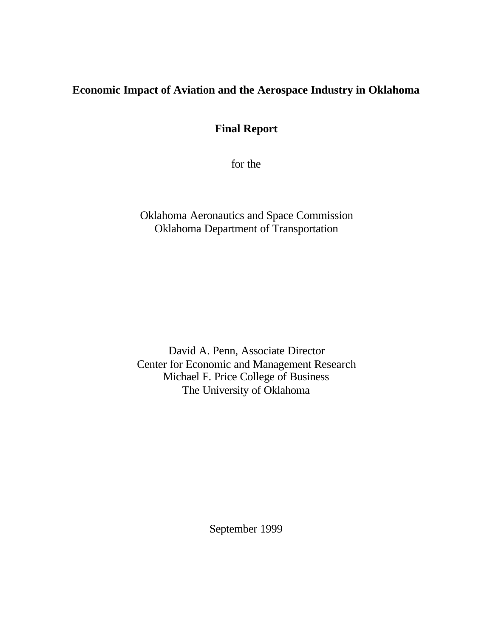# **Economic Impact of Aviation and the Aerospace Industry in Oklahoma**

**Final Report**

for the

Oklahoma Aeronautics and Space Commission Oklahoma Department of Transportation

David A. Penn, Associate Director Center for Economic and Management Research Michael F. Price College of Business The University of Oklahoma

September 1999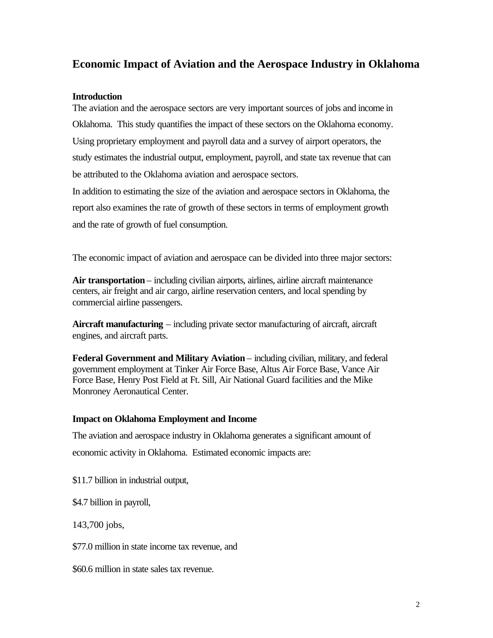# **Economic Impact of Aviation and the Aerospace Industry in Oklahoma**

# **Introduction**

The aviation and the aerospace sectors are very important sources of jobs and income in Oklahoma. This study quantifies the impact of these sectors on the Oklahoma economy. Using proprietary employment and payroll data and a survey of airport operators, the study estimates the industrial output, employment, payroll, and state tax revenue that can be attributed to the Oklahoma aviation and aerospace sectors.

In addition to estimating the size of the aviation and aerospace sectors in Oklahoma, the report also examines the rate of growth of these sectors in terms of employment growth and the rate of growth of fuel consumption.

The economic impact of aviation and aerospace can be divided into three major sectors:

Air transportation – including civilian airports, airlines, airline aircraft maintenance centers, air freight and air cargo, airline reservation centers, and local spending by commercial airline passengers.

**Aircraft manufacturing** – including private sector manufacturing of aircraft, aircraft engines, and aircraft parts.

**Federal Government and Military Aviation** – including civilian, military, and federal government employment at Tinker Air Force Base, Altus Air Force Base, Vance Air Force Base, Henry Post Field at Ft. Sill, Air National Guard facilities and the Mike Monroney Aeronautical Center.

# **Impact on Oklahoma Employment and Income**

The aviation and aerospace industry in Oklahoma generates a significant amount of economic activity in Oklahoma. Estimated economic impacts are:

\$11.7 billion in industrial output,

\$4.7 billion in payroll,

143,700 jobs,

\$77.0 million in state income tax revenue, and

\$60.6 million in state sales tax revenue.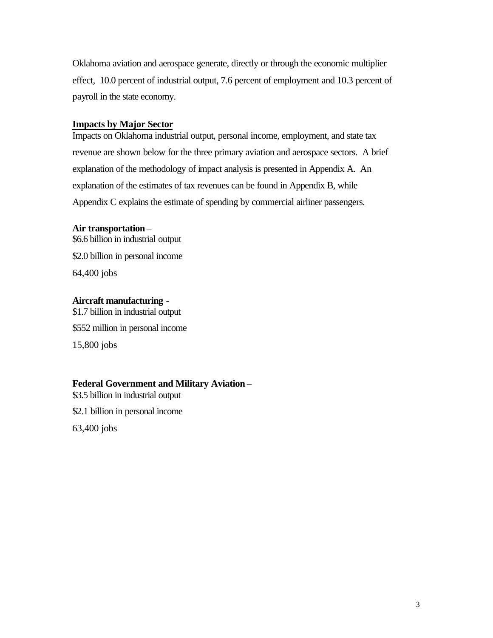Oklahoma aviation and aerospace generate, directly or through the economic multiplier effect, 10.0 percent of industrial output, 7.6 percent of employment and 10.3 percent of payroll in the state economy.

# **Impacts by Major Sector**

Impacts on Oklahoma industrial output, personal income, employment, and state tax revenue are shown below for the three primary aviation and aerospace sectors. A brief explanation of the methodology of impact analysis is presented in Appendix A. An explanation of the estimates of tax revenues can be found in Appendix B, while Appendix C explains the estimate of spending by commercial airliner passengers.

## **Air transportation** –

\$6.6 billion in industrial output \$2.0 billion in personal income 64,400 jobs

## **Aircraft manufacturing** -

\$1.7 billion in industrial output \$552 million in personal income 15,800 jobs

# **Federal Government and Military Aviation** –

\$3.5 billion in industrial output

\$2.1 billion in personal income

63,400 jobs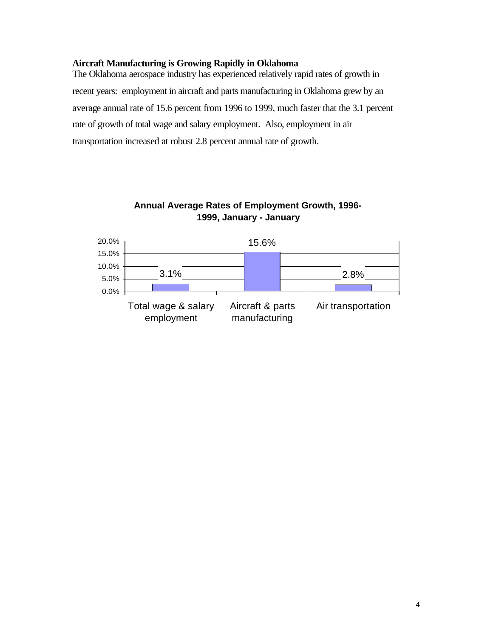# **Aircraft Manufacturing is Growing Rapidly in Oklahoma**

The Oklahoma aerospace industry has experienced relatively rapid rates of growth in recent years: employment in aircraft and parts manufacturing in Oklahoma grew by an average annual rate of 15.6 percent from 1996 to 1999, much faster that the 3.1 percent rate of growth of total wage and salary employment. Also, employment in air transportation increased at robust 2.8 percent annual rate of growth.



**Annual Average Rates of Employment Growth, 1996- 1999, January - January**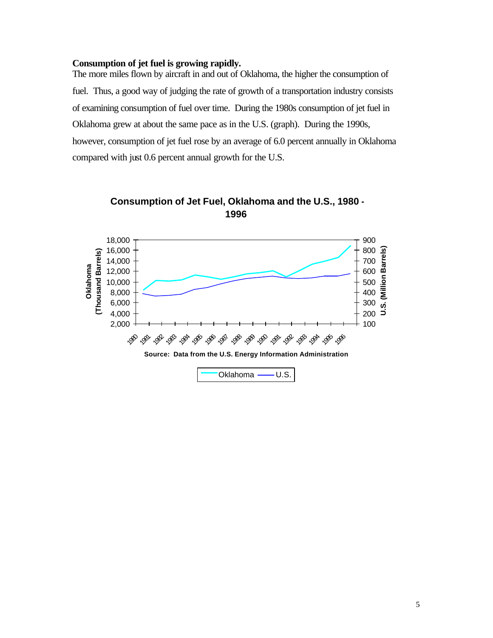#### **Consumption of jet fuel is growing rapidly.**

The more miles flown by aircraft in and out of Oklahoma, the higher the consumption of fuel. Thus, a good way of judging the rate of growth of a transportation industry consists of examining consumption of fuel over time. During the 1980s consumption of jet fuel in Oklahoma grew at about the same pace as in the U.S. (graph). During the 1990s, however, consumption of jet fuel rose by an average of 6.0 percent annually in Oklahoma compared with just 0.6 percent annual growth for the U.S.



**Consumption of Jet Fuel, Oklahoma and the U.S., 1980 - 1996**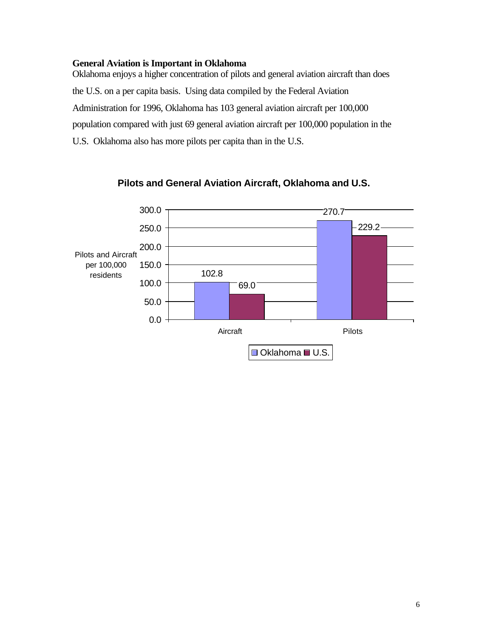## **General Aviation is Important in Oklahoma**

Oklahoma enjoys a higher concentration of pilots and general aviation aircraft than does the U.S. on a per capita basis. Using data compiled by the Federal Aviation Administration for 1996, Oklahoma has 103 general aviation aircraft per 100,000 population compared with just 69 general aviation aircraft per 100,000 population in the U.S. Oklahoma also has more pilots per capita than in the U.S.



# **Pilots and General Aviation Aircraft, Oklahoma and U.S.**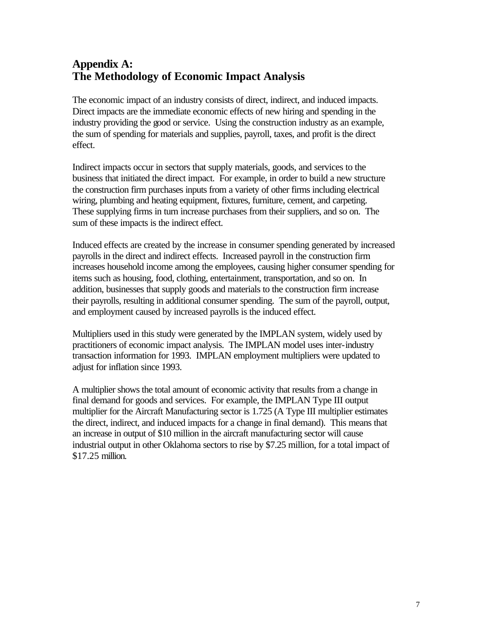# **Appendix A: The Methodology of Economic Impact Analysis**

The economic impact of an industry consists of direct, indirect, and induced impacts. Direct impacts are the immediate economic effects of new hiring and spending in the industry providing the good or service. Using the construction industry as an example, the sum of spending for materials and supplies, payroll, taxes, and profit is the direct effect.

Indirect impacts occur in sectors that supply materials, goods, and services to the business that initiated the direct impact. For example, in order to build a new structure the construction firm purchases inputs from a variety of other firms including electrical wiring, plumbing and heating equipment, fixtures, furniture, cement, and carpeting. These supplying firms in turn increase purchases from their suppliers, and so on. The sum of these impacts is the indirect effect.

Induced effects are created by the increase in consumer spending generated by increased payrolls in the direct and indirect effects. Increased payroll in the construction firm increases household income among the employees, causing higher consumer spending for items such as housing, food, clothing, entertainment, transportation, and so on. In addition, businesses that supply goods and materials to the construction firm increase their payrolls, resulting in additional consumer spending. The sum of the payroll, output, and employment caused by increased payrolls is the induced effect.

Multipliers used in this study were generated by the IMPLAN system, widely used by practitioners of economic impact analysis. The IMPLAN model uses inter-industry transaction information for 1993. IMPLAN employment multipliers were updated to adjust for inflation since 1993.

A multiplier shows the total amount of economic activity that results from a change in final demand for goods and services. For example, the IMPLAN Type III output multiplier for the Aircraft Manufacturing sector is 1.725 (A Type III multiplier estimates the direct, indirect, and induced impacts for a change in final demand). This means that an increase in output of \$10 million in the aircraft manufacturing sector will cause industrial output in other Oklahoma sectors to rise by \$7.25 million, for a total impact of \$17.25 million.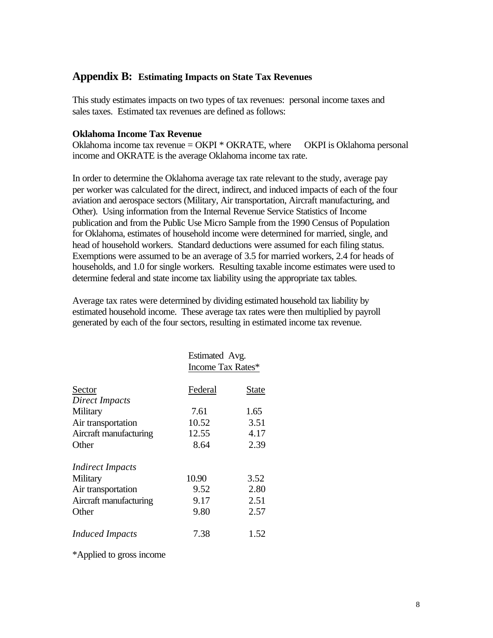# **Appendix B: Estimating Impacts on State Tax Revenues**

This study estimates impacts on two types of tax revenues: personal income taxes and sales taxes. Estimated tax revenues are defined as follows:

# **Oklahoma Income Tax Revenue**

Oklahoma income tax revenue =  $\alpha$ KPI \* OKRATE, where OKPI is Oklahoma personal income and OKRATE is the average Oklahoma income tax rate.

In order to determine the Oklahoma average tax rate relevant to the study, average pay per worker was calculated for the direct, indirect, and induced impacts of each of the four aviation and aerospace sectors (Military, Air transportation, Aircraft manufacturing, and Other). Using information from the Internal Revenue Service Statistics of Income publication and from the Public Use Micro Sample from the 1990 Census of Population for Oklahoma, estimates of household income were determined for married, single, and head of household workers. Standard deductions were assumed for each filing status. Exemptions were assumed to be an average of 3.5 for married workers, 2.4 for heads of households, and 1.0 for single workers. Resulting taxable income estimates were used to determine federal and state income tax liability using the appropriate tax tables.

Average tax rates were determined by dividing estimated household tax liability by estimated household income. These average tax rates were then multiplied by payroll generated by each of the four sectors, resulting in estimated income tax revenue.

|                         | Estimated Avg.<br>Income Tax Rates* |       |
|-------------------------|-------------------------------------|-------|
| Sector                  | Federal                             | State |
| Direct Impacts          |                                     |       |
| Military                | 7.61                                | 1.65  |
| Air transportation      | 10.52                               | 3.51  |
| Aircraft manufacturing  | 12.55                               | 4.17  |
| Other                   | 8.64                                | 2.39  |
| <i>Indirect Impacts</i> |                                     |       |
| Military                | 10.90                               | 3.52  |
| Air transportation      | 9.52                                | 2.80  |
| Aircraft manufacturing  | 9.17                                | 2.51  |
| Other                   | 9.80                                | 2.57  |
| <b>Induced Impacts</b>  | 7.38                                | 1.52  |

\*Applied to gross income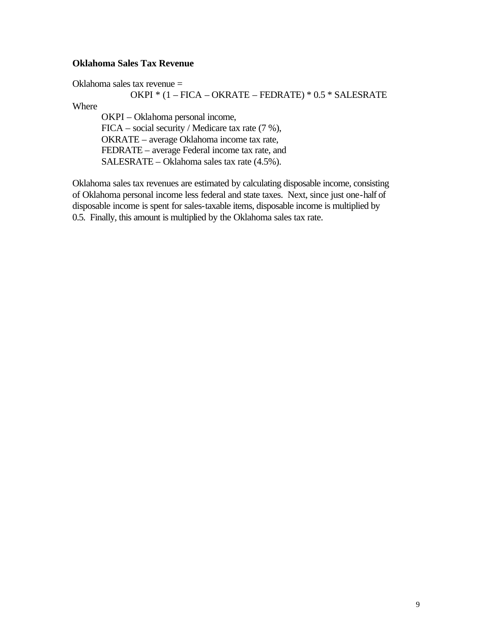# **Oklahoma Sales Tax Revenue**

Oklahoma sales tax revenue =

## OKPI \* (1 – FICA – OKRATE – FEDRATE) \* 0.5 \* SALESRATE

Where

OKPI – Oklahoma personal income, FICA – social security / Medicare tax rate (7 %), OKRATE – average Oklahoma income tax rate, FEDRATE – average Federal income tax rate, and SALESRATE – Oklahoma sales tax rate (4.5%).

Oklahoma sales tax revenues are estimated by calculating disposable income, consisting of Oklahoma personal income less federal and state taxes. Next, since just one-half of disposable income is spent for sales-taxable items, disposable income is multiplied by 0.5. Finally, this amount is multiplied by the Oklahoma sales tax rate.